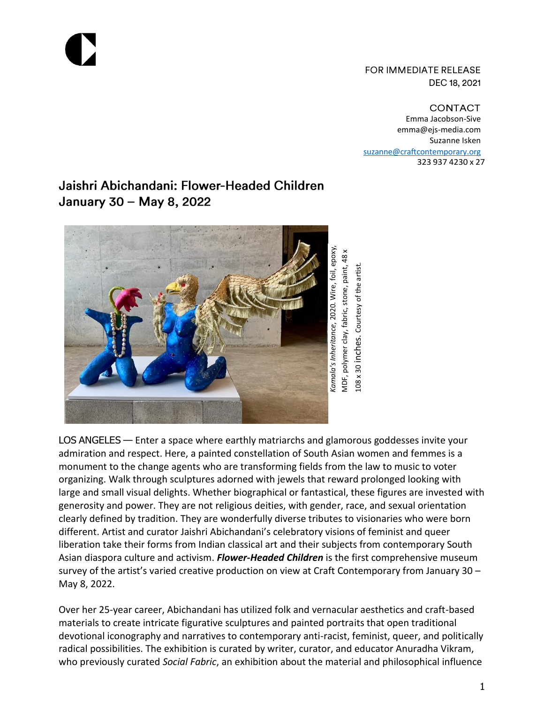## FOR IMMEDIATE RELEASE DEC 18, 2021

**CONTACT** Emma Jacobson-Sive emma@ejs-media.com Suzanne Isken [suzanne@craftcontemporary.org](mailto:suzanne@craftcontemporary.org) 323 937 4230 x 27

# Jaishri Abichandani: Flower-Headed Children January 30 - May 8, 2022



LOS ANGELES — Enter a space where earthly matriarchs and glamorous goddesses invite your admiration and respect. Here, a painted constellation of South Asian women and femmes is a monument to the change agents who are transforming fields from the law to music to voter organizing. Walk through sculptures adorned with jewels that reward prolonged looking with large and small visual delights. Whether biographical or fantastical, these figures are invested with generosity and power. They are not religious deities, with gender, race, and sexual orientation clearly defined by tradition. They are wonderfully diverse tributes to visionaries who were born different. Artist and curator Jaishri Abichandani's celebratory visions of feminist and queer liberation take their forms from Indian classical art and their subjects from contemporary South Asian diaspora culture and activism. *Flower-Headed Children* is the first comprehensive museum survey of the artist's varied creative production on view at Craft Contemporary from January 30 – May 8, 2022. Example the state of the state of the state of the state of the material and philosophical influence<br>
Not perform a space where earthly matriarchs and glamorous goddesses invite your<br>
LOS ANCELES — Enter a space where eart

Over her 25-year career, Abichandani has utilized folk and vernacular aesthetics and craft-based materials to create intricate figurative sculptures and painted portraits that open traditional devotional iconography and narratives to contemporary anti-racist, feminist, queer, and politically radical possibilities. The exhibition is curated by writer, curator, and educator Anuradha Vikram,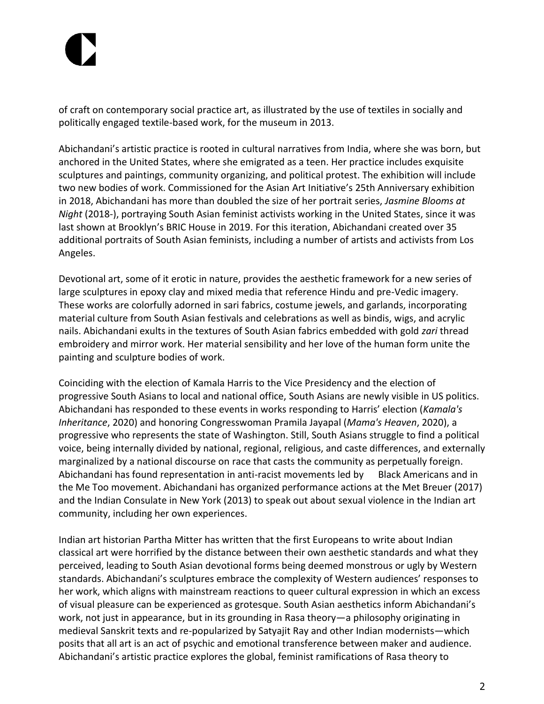of craft on contemporary social practice art, as illustrated by the use of textiles in socially and politically engaged textile-based work, for the museum in 2013.

Abichandani's artistic practice is rooted in cultural narratives from India, where she was born, but anchored in the United States, where she emigrated as a teen. Her practice includes exquisite sculptures and paintings, community organizing, and political protest. The exhibition will include two new bodies of work. Commissioned for the Asian Art Initiative's 25th Anniversary exhibition in 2018, Abichandani has more than doubled the size of her portrait series, *Jasmine Blooms at Night* (2018-), portraying South Asian feminist activists working in the United States, since it was last shown at Brooklyn's BRIC House in 2019. For this iteration, Abichandani created over 35 additional portraits of South Asian feminists, including a number of artists and activists from Los Angeles.

Devotional art, some of it erotic in nature, provides the aesthetic framework for a new series of large sculptures in epoxy clay and mixed media that reference Hindu and pre-Vedic imagery. These works are colorfully adorned in sari fabrics, costume jewels, and garlands, incorporating material culture from South Asian festivals and celebrations as well as bindis, wigs, and acrylic nails. Abichandani exults in the textures of South Asian fabrics embedded with gold *zari* thread embroidery and mirror work. Her material sensibility and her love of the human form unite the painting and sculpture bodies of work.

Coinciding with the election of Kamala Harris to the Vice Presidency and the election of progressive South Asians to local and national office, South Asians are newly visible in US politics. Abichandani has responded to these events in works responding to Harris' election (*Kamala's Inheritance*, 2020) and honoring Congresswoman Pramila Jayapal (*Mama's Heaven*, 2020), a progressive who represents the state of Washington. Still, South Asians struggle to find a political voice, being internally divided by national, regional, religious, and caste differences, and externally marginalized by a national discourse on race that casts the community as perpetually foreign. Abichandani has found representation in anti-racist movements led by Black Americans and in the Me Too movement. Abichandani has organized performance actions at the Met Breuer (2017) and the Indian Consulate in New York (2013) to speak out about sexual violence in the Indian art community, including her own experiences.

Indian art historian Partha Mitter has written that the first Europeans to write about Indian classical art were horrified by the distance between their own aesthetic standards and what they perceived, leading to South Asian devotional forms being deemed monstrous or ugly by Western standards. Abichandani's sculptures embrace the complexity of Western audiences' responses to her work, which aligns with mainstream reactions to queer cultural expression in which an excess of visual pleasure can be experienced as grotesque. South Asian aesthetics inform Abichandani's work, not just in appearance, but in its grounding in Rasa theory—a philosophy originating in medieval Sanskrit texts and re-popularized by Satyajit Ray and other Indian modernists—which posits that all art is an act of psychic and emotional transference between maker and audience. Abichandani's artistic practice explores the global, feminist ramifications of Rasa theory to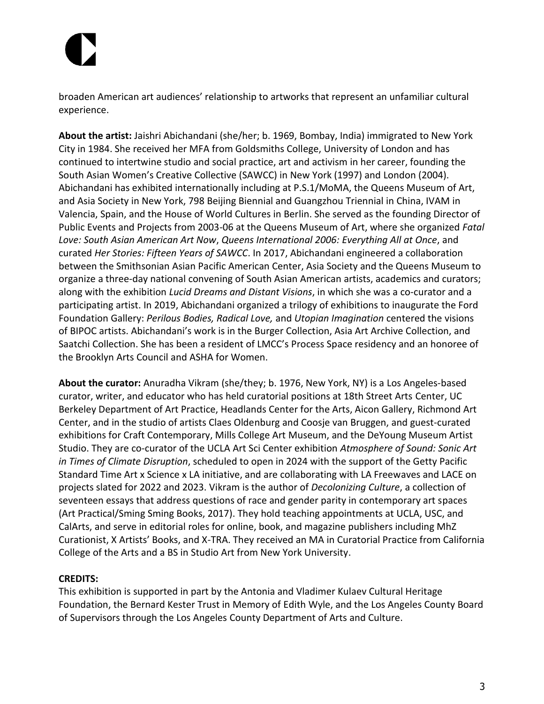broaden American art audiences' relationship to artworks that represent an unfamiliar cultural experience.

**About the artist:** Jaishri Abichandani (she/her; b. 1969, Bombay, India) immigrated to New York City in 1984. She received her MFA from Goldsmiths College, University of London and has continued to intertwine studio and social practice, art and activism in her career, founding the South Asian Women's Creative Collective (SAWCC) in New York (1997) and London (2004). Abichandani has exhibited internationally including at P.S.1/MoMA, the Queens Museum of Art, and Asia Society in New York, 798 Beijing Biennial and Guangzhou Triennial in China, IVAM in Valencia, Spain, and the House of World Cultures in Berlin. She served as the founding Director of Public Events and Projects from 2003-06 at the Queens Museum of Art, where she organized *Fatal Love: South Asian American Art Now*, *Queens International 2006: Everything All at Once*, and curated *Her Stories: Fifteen Years of SAWCC*. In 2017, Abichandani engineered a collaboration between the Smithsonian Asian Pacific American Center, Asia Society and the Queens Museum to organize a three-day national convening of South Asian American artists, academics and curators; along with the exhibition *Lucid Dreams and Distant Visions*, in which she was a co-curator and a participating artist. In 2019, Abichandani organized a trilogy of exhibitions to inaugurate the Ford Foundation Gallery: *Perilous Bodies, Radical Love,* and *Utopian Imagination* centered the visions of BIPOC artists. Abichandani's work is in the Burger Collection, Asia Art Archive Collection, and Saatchi Collection. She has been a resident of LMCC's Process Space residency and an honoree of the Brooklyn Arts Council and ASHA for Women.

**About the curator:** Anuradha Vikram (she/they; b. 1976, New York, NY) is a Los Angeles-based curator, writer, and educator who has held curatorial positions at 18th Street Arts Center, UC Berkeley Department of Art Practice, Headlands Center for the Arts, Aicon Gallery, Richmond Art Center, and in the studio of artists Claes Oldenburg and Coosje van Bruggen, and guest-curated exhibitions for Craft Contemporary, Mills College Art Museum, and the DeYoung Museum Artist Studio. They are co-curator of the UCLA Art Sci Center exhibition *Atmosphere of Sound: Sonic Art in Times of Climate Disruption*, scheduled to open in 2024 with the support of the Getty Pacific Standard Time Art x Science x LA initiative, and are collaborating with LA Freewaves and LACE on projects slated for 2022 and 2023. Vikram is the author of *Decolonizing Culture*, a collection of seventeen essays that address questions of race and gender parity in contemporary art spaces (Art Practical/Sming Sming Books, 2017). They hold teaching appointments at UCLA, USC, and CalArts, and serve in editorial roles for online, book, and magazine publishers including MhZ Curationist, X Artists' Books, and X-TRA. They received an MA in Curatorial Practice from California College of the Arts and a BS in Studio Art from New York University.

# **CREDITS:**

This exhibition is supported in part by the Antonia and Vladimer Kulaev Cultural Heritage Foundation, the Bernard Kester Trust in Memory of Edith Wyle, and the Los Angeles County Board of Supervisors through the Los Angeles County Department of Arts and Culture.